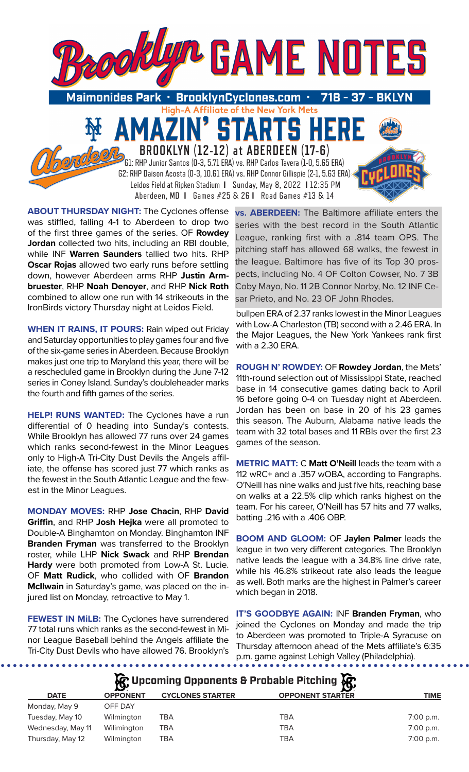

**ABOUT THURSDAY NIGHT:** The Cyclones offense was stiffled, falling 4-1 to Aberdeen to drop two of the first three games of the series. OF **Rowdey Jordan** collected two hits, including an RBI double, while INF **Warren Saunders** tallied two hits. RHP **Oscar Rojas** allowed two early runs before settling down, however Aberdeen arms RHP **Justin Armbruester**, RHP **Noah Denoyer**, and RHP **Nick Roth**  combined to allow one run with 14 strikeouts in the IronBirds victory Thursday night at Leidos Field.

**WHEN IT RAINS, IT POURS:** Rain wiped out Friday and Saturday opportunities to play games four and five of the six-game series in Aberdeen. Because Brooklyn makes just one trip to Maryland this year, there will be a rescheduled game in Brooklyn during the June 7-12 series in Coney Island. Sunday's doubleheader marks the fourth and fifth games of the series.

**HELP! RUNS WANTED:** The Cyclones have a run differential of 0 heading into Sunday's contests. While Brooklyn has allowed 77 runs over 24 games which ranks second-fewest in the Minor Leagues only to High-A Tri-City Dust Devils the Angels affiliate, the offense has scored just 77 which ranks as the fewest in the South Atlantic League and the fewest in the Minor Leagues.

**MONDAY MOVES:** RHP **Jose Chacin**, RHP **David Griffin**, and RHP **Josh Hejka** were all promoted to Double-A Binghamton on Monday. Binghamton INF **Branden Fryman** was transferred to the Brooklyn roster, while LHP **Nick Swack** and RHP **Brendan Hardy** were both promoted from Low-A St. Lucie. OF **Matt Rudick**, who collided with OF **Brandon McIlwain** in Saturday's game, was placed on the injured list on Monday, retroactive to May 1.

**FEWEST IN MiLB:** The Cyclones have surrendered 77 total runs which ranks as the second-fewest in Minor League Baseball behind the Angels affiliate the Tri-City Dust Devils who have allowed 76. Brooklyn's

**vs. ABERDEEN:** The Baltimore affiliate enters the series with the best record in the South Atlantic League, ranking first with a .814 team OPS. The pitching staff has allowed 68 walks, the fewest in the league. Baltimore has five of its Top 30 prospects, including No. 4 OF Colton Cowser, No. 7 3B Coby Mayo, No. 11 2B Connor Norby, No. 12 INF Cesar Prieto, and No. 23 OF John Rhodes.

bullpen ERA of 2.37 ranks lowest in the Minor Leagues with Low-A Charleston (TB) second with a 2.46 ERA. In the Major Leagues, the New York Yankees rank first with a 2.30 ERA.

**ROUGH N' ROWDEY:** OF **Rowdey Jordan**, the Mets' 11th-round selection out of Mississippi State, reached base in 14 consecutive games dating back to April 16 before going 0-4 on Tuesday night at Aberdeen. Jordan has been on base in 20 of his 23 games this season. The Auburn, Alabama native leads the team with 32 total bases and 11 RBIs over the first 23 games of the season.

**METRIC MATT:** C **Matt O'Neill** leads the team with a 112 wRC+ and a .357 wOBA, according to Fangraphs. O'Neill has nine walks and just five hits, reaching base on walks at a 22.5% clip which ranks highest on the team. For his career, O'Neill has 57 hits and 77 walks, batting .216 with a .406 OBP.

**BOOM AND GLOOM:** OF **Jaylen Palmer** leads the league in two very different categories. The Brooklyn native leads the league with a 34.8% line drive rate, while his 46.8% strikeout rate also leads the league as well. Both marks are the highest in Palmer's career which began in 2018.

**IT'S GOODBYE AGAIN:** INF **Branden Fryman**, who joined the Cyclones on Monday and made the trip to Aberdeen was promoted to Triple-A Syracuse on Thursday afternoon ahead of the Mets affiliate's 6:35 p.m. game against Lehigh Valley (Philadelphia).

| C, Upcoming Opponents & Probable Pitching C, |                 |                         |                         |             |  |  |  |
|----------------------------------------------|-----------------|-------------------------|-------------------------|-------------|--|--|--|
| <b>DATE</b>                                  | <b>OPPONENT</b> | <b>CYCLONES STARTER</b> | <b>OPPONENT STARTER</b> | <b>TIME</b> |  |  |  |
| Monday, May 9                                | OFF DAY         |                         |                         |             |  |  |  |
| Tuesday, May 10                              | Wilmington      | TBA                     | <b>TBA</b>              | 7:00 p.m.   |  |  |  |
| Wednesday, May 11                            | Wilimington     | TBA                     | <b>TBA</b>              | $7:00$ p.m. |  |  |  |
| Thursday, May 12                             | Wilmington      | TBA                     | <b>TBA</b>              | 7:00 p.m.   |  |  |  |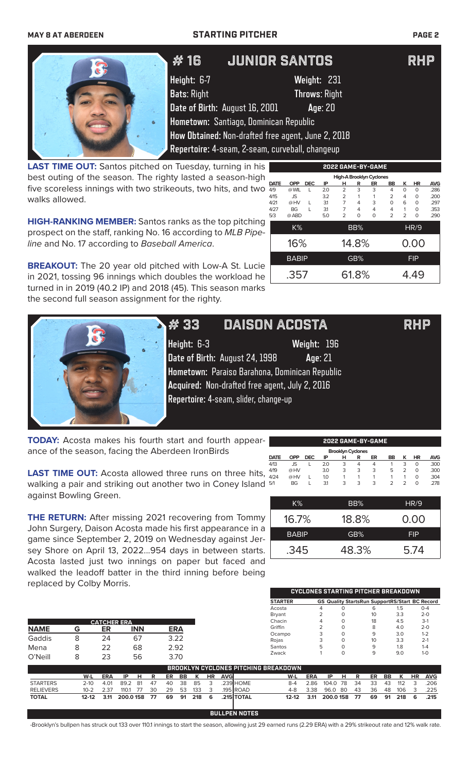## **MAY 8 AT ABERDEEN STARTING PITCHER PAGE 2**



# # 16 Junior Santos RHP

**Height:** 6-7 **Weight:** 231

**2022 GAME-BY-GAME**

**High-A Brooklyn Cy** 

K% BB% HR/9

4/27 BG L 3.1 7 4 4 4 1 0 .353 5/3 @ ABD 5.0 2 0 0 2 2 0 .290

16% 14.8% 0.00 BABIP **GB%** FIP

.357 61.8% 4.49

**Bats**: Right **Throws**: Right **Date of Birth:** August 16, 2001 **Age**: 20

**Hometown:** Santiago, Dominican Republic **How Obtained:** Non-drafted free agent, June 2, 2018

**Repertoire:** 4-seam, 2-seam, curveball, changeup

**LAST TIME OUT:** Santos pitched on Tuesday, turning in his best outing of the season. The righty lasted a season-high five scoreless innings with two strikeouts, two hits, and two  $\frac{\text{part}}{4/15}$ walks allowed. **DATE OPP DEC IP H R ER BB K HR AVG** 4/9 @ WIL L 2.0 2 3 3 4 0 0 .286 4/15 JS 3.2 2 1 1 2 4 0 .200 4/21 @ HV L 3.1 7 4 3 0 6 0 .297

**HIGH-RANKING MEMBER:** Santos ranks as the top pitching prospect on the staff, ranking No. 16 according to *MLB Pipeline* and No. 17 according to *Baseball America*.

**BREAKOUT:** The 20 year old pitched with Low-A St. Lucie in 2021, tossing 96 innings which doubles the workload he turned in in 2019 (40.2 IP) and 2018 (45). This season marks the second full season assignment for the righty.



 $\#$  33  $\>$  DAISON ACOSTA  $\>$  RHP

**Height:** 6-3 **Weight:** 196 **Date of Birth:** August 24, 1998 **Age**: 21 **Hometown:** Paraiso Barahona, Dominican Republic **Acquired:** Non-drafted free agent, July 2, 2016 **Repertoire:** 4-seam, slider, change-up

**TODAY:** Acosta makes his fourth start and fourth appearance of the season, facing the Aberdeen IronBirds

**LAST TIME OUT:** Acosta allowed three runs on three hits, walking a pair and striking out another two in Coney Island against Bowling Green.

**THE RETURN:** After missing 2021 recovering from Tommy John Surgery, Daison Acosta made his first appearance in a game since September 2, 2019 on Wednesday against Jersey Shore on April 13, 2022...954 days in between starts. Acosta lasted just two innings on paper but faced and walked the leadoff batter in the third inning before being replaced by Colby Morris.

| 2022 GAME-BY-GAME        |            |            |     |   |   |    |           |   |           |            |
|--------------------------|------------|------------|-----|---|---|----|-----------|---|-----------|------------|
| <b>Brooklyn Cyclones</b> |            |            |     |   |   |    |           |   |           |            |
| <b>DATE</b>              | <b>OPP</b> | <b>DEC</b> | ΙP  | н | R | ER | <b>BB</b> | ĸ | <b>HR</b> | <b>AVG</b> |
| 4/13                     | JS.        |            | 2.0 | 3 | 4 | 4  |           | 3 | O         | .300       |
| 4/19                     | @HV        |            | 3.0 | 3 | 3 | 3  | 5         | フ | O         | .300       |
| 4/24                     | @HV        |            | 1.0 |   |   |    |           |   | O         | .304       |
| 5/1                      | <b>BG</b>  |            | 31  | 3 | 3 | 3  | っ         | っ | O         | .278       |

| K%           | BB%   | HR/9       |
|--------------|-------|------------|
| 16.7%        | 18.8% | 0.00       |
| <b>BABIP</b> | GB%   | <b>FIP</b> |
| .345         | 48.3% | 5.74       |

**CYCLONES STARTING PITCHER BREAKDOWN**

|                  |           |            |                    |            |    |            |      |     |           |            |            | <b>STARTER</b>                              |            | <b>GS Quality StartsRun SupportRS/Start BC Record</b> |          |    |    |    |     |           |            |
|------------------|-----------|------------|--------------------|------------|----|------------|------|-----|-----------|------------|------------|---------------------------------------------|------------|-------------------------------------------------------|----------|----|----|----|-----|-----------|------------|
|                  |           |            |                    |            |    |            |      |     |           |            |            | Acosta                                      |            | 4                                                     |          |    | 6  |    | 1.5 |           | $O - 4$    |
|                  |           |            |                    |            |    |            |      |     |           |            |            | <b>Bryant</b>                               |            |                                                       | 0        |    | 10 |    | 3.3 |           | $2 - 0$    |
|                  |           |            | <b>CATCHER ERA</b> |            |    |            |      |     |           |            |            | Chacin                                      |            |                                                       |          |    | 18 |    | 4.5 |           | $3-1$      |
| <b>NAME</b>      | G         | ER         |                    | <b>INN</b> |    | <b>ERA</b> |      |     |           |            |            | Griffin                                     |            |                                                       |          |    | 8  |    | 4.0 |           | $2 - 0$    |
|                  |           |            |                    |            |    |            |      |     |           |            |            | Ocampo                                      |            |                                                       |          |    | 9  |    | 3.0 |           | $1 - 2$    |
| Gaddis           | 8         | 24         |                    | 67         |    | 3.22       |      |     |           |            |            | Rojas                                       |            |                                                       | $\Omega$ |    | 10 |    | 3.3 |           | $2 - 1$    |
| Mena             | 8         | 22         |                    | 68         |    | 2.92       |      |     |           |            |            | Santos                                      |            | 5                                                     |          |    | 9  |    | 1.8 |           | $1 - 4$    |
|                  |           | 23         |                    |            |    |            | 3.70 |     |           |            |            | Zwack                                       |            |                                                       | $\Omega$ |    | 9  |    | 9.0 |           | $1 - 0$    |
| O'Neill          | 8         |            |                    | 56         |    |            |      |     |           |            |            |                                             |            |                                                       |          |    |    |    |     |           |            |
|                  |           |            |                    |            |    |            |      |     |           |            |            | <b>BROOKLYN CYCLONES PITCHING BREAKDOWN</b> |            |                                                       |          |    |    |    |     |           |            |
|                  | W-L       | <b>ERA</b> | IP                 | н          | R  | ER         | BB   | K   | <b>HR</b> | <b>AVG</b> |            | W-L                                         | <b>ERA</b> | IP                                                    | н        | R  | ER | BB | К   | <b>HR</b> | <b>AVG</b> |
| <b>STARTERS</b>  | $2 - 10$  | 4.01       | 89.2               | -81        | 47 | 40         | 38   | 85  | 3         |            | 239 HOME   | $8 - 4$                                     | 2.86       | 104.0                                                 | 78       | 34 | 33 | 43 | 112 | 3         | .206       |
| <b>RELIEVERS</b> | $10 - 2$  | 2.37       | 110.1              | 77         | 30 | 29         | 53   | 133 | 3         |            | 195 ROAD   | $4 - 8$                                     | 3.38       | 96.0                                                  | -80      | 43 | 36 | 48 | 106 | 3         | .225       |
| <b>TOTAL</b>     | $12 - 12$ | 3.11       | 200.0158           |            | 77 | 69         | 91   | 218 | 6         |            | .215 TOTAL | $12 - 12$                                   | 3.11       | 200.0158                                              |          | 77 | 69 | 91 | 218 | 6         | .215       |
|                  |           |            |                    |            |    |            |      |     |           |            |            |                                             |            |                                                       |          |    |    |    |     |           |            |

**BULLPEN NOTES**

-Brooklyn's bullpen has struck out 133 over 110.1 innings to start the season, allowing just 29 earned runs (2.29 ERA) with a 29% strikeout rate and 12% walk rate.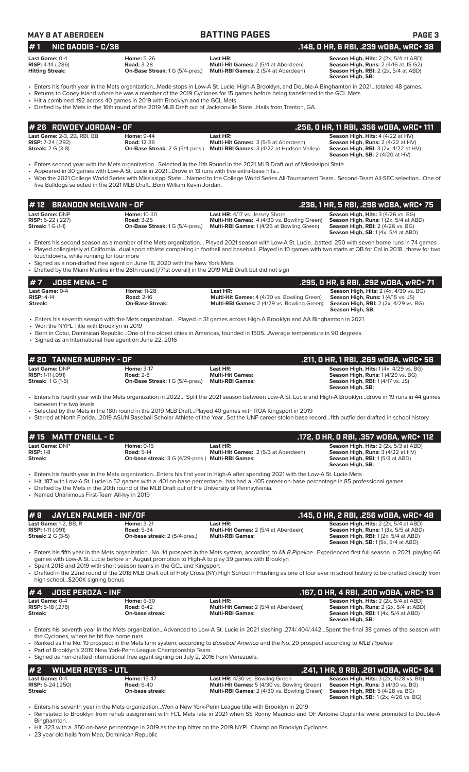|  |  | <b>MAY 8 AT ABERDEEN</b> |  |  |  |  |
|--|--|--------------------------|--|--|--|--|
|  |  |                          |  |  |  |  |

### **MAY 8 AT TING PAGES BATTING PAGES**

| $#1$ NIC GADDIS - C/3B                                                 |  |                                                                              | .148, 0 HR, 6 RBI, .239 w0BA, wRC+                                                                                                                                                                                                                                                                                                                                                                 |                                                                                                                                                          |  |  |  |
|------------------------------------------------------------------------|--|------------------------------------------------------------------------------|----------------------------------------------------------------------------------------------------------------------------------------------------------------------------------------------------------------------------------------------------------------------------------------------------------------------------------------------------------------------------------------------------|----------------------------------------------------------------------------------------------------------------------------------------------------------|--|--|--|
| Last Game: 0-4<br><b>RISP:</b> $4-14$ (.286)<br><b>Hitting Streak:</b> |  | <b>Home: 5-26</b><br><b>Road: 3-28</b><br>On-Base Streak: 1 G (5/4-pres.)    | Last HR:<br>Multi-Hit Games: 2 (5/4 at Aberdeen)<br>Multi-RBI Games: 2 (5/4 at Aberdeen)                                                                                                                                                                                                                                                                                                           | Season High, Hits: 2 (2x, 5/4 at ABD)<br>Season High, Runs: 2 (4/16 at JS G2)<br><b>Season High, RBI:</b> $2$ ( $2x$ , $5/4$ at ABD)<br>Season High, SB: |  |  |  |
|                                                                        |  | • Hit a combined .192 across 40 games in 2019 with Brooklyn and the GCL Mets | . Enters his fourth year in the Mets organizationMade stops in Low-A St. Lucie, High-A Brooklyn, and Double-A Binghamton in 2021totaled 48 games.<br>. Returns to Coney Island where he was a member of the 2019 Cyclones for 15 games before being transferred to the GCL Mets.<br>. Drafted by the Mets in the 16th round of the 2019 MLB Draft out of Jacksonville StateHails from Trenton, GA. |                                                                                                                                                          |  |  |  |

**# 1 NIC GADDIS - C/3B .148, 0 HR, 6 RBI, .239 wOBA, wRC+ 38 Season High, Hits:** 2 (2x, 5/4 at ABD) **Season High, SB:** 

| l# 26   ROWDEY JORDAN - OF         |                                        |                                                   | . 256, O HR, 11 RBI, .356 wOBA, wRC+ 111.       |
|------------------------------------|----------------------------------------|---------------------------------------------------|-------------------------------------------------|
| <b>Last Game: 2-3, 2B, RBI, BB</b> | <b>Home: 9-44</b>                      | Last HR:                                          | <b>Season High, Hits: 4 (4/22 at HV)</b>        |
| <b>RISP:</b> $7-24$ (.292)         | <b>Road: 12-38</b>                     | <b>Multi-Hit Games:</b> 3 (5/5 at Aberdeen)       | <b>Season High, Runs:</b> $2(4/22$ at $HV$ )    |
| <b>Streak:</b> 2 G (3-8)           | <b>On-Base Streak: 2 G (5/4-pres.)</b> | <b>Multi-RBI Games:</b> 3 (4/22 at Hudson Valley) | <b>Season High, RBI:</b> $3$ (2x, $4/22$ at HV) |
|                                    |                                        |                                                   | <b>Season High, SB:</b> $2(4/20$ at HV)         |

• Enters second year with the Mets organization…Selected in the 11th Round in the 2021 MLB Draft out of Mississippi State

• Appeared in 30 games with Low-A St. Lucie in 2021…Drove in 13 runs with five extra-base hits… • Won the 2021 College World Series with Mississippi State….Named to the College World Series All-Tournament Team…Second-Team All-SEC selection…One of five Bulldogs selected in the 2021 MLB Draft…Born William Kevin Jordan.

|                                                                               | #12 BRANDON McILWAIN - OF                                                         | . .236, 1 HR, 5 RBI, .298 wOBA, wRC+ 75'                                                                                                        |                                                                                                                                                                                      |  |  |  |
|-------------------------------------------------------------------------------|-----------------------------------------------------------------------------------|-------------------------------------------------------------------------------------------------------------------------------------------------|--------------------------------------------------------------------------------------------------------------------------------------------------------------------------------------|--|--|--|
| <b>Last Game: DNP</b><br><b>RISP:</b> 5-22 (.227)<br><b>Streak:</b> 1 G (1-1) | <b>Home: 10-30</b><br><b>Road: 3-25</b><br><b>On-Base Streak: 1 G (5/4-pres.)</b> | <b>Last HR:</b> 4/17 vs. Jersey Shore<br><b>Multi-Hit Games:</b> 4 (4/30 vs. Bowling Green)<br><b>Multi-RBI Games: 1(4/26 at Bowling Green)</b> | <b>Season High, Hits: 3 (4/26 vs. BG)</b><br><b>Season High, Runs: 1 (2x, 5/4 at ABD)</b><br><b>Season High, RBI:</b> 2 (4/26 vs. BG)<br><b>Season High, SB:</b> $1(4x, 5/4$ at ABD) |  |  |  |

• Enters his second season as a member of the Mets organization… Played 2021 season with Low-A St. Lucie…batted .250 with seven home runs in 74 games Played collegiately at California...dual sport athlete competing in football and baseball...Played in 10 games with two starts at QB for Cal in 2018...threw for two

touchdowns, while running for four more • Signed as a non-drafted free agent on June 18, 2020 with the New York Mets

• Drafted by the Miami Marlins in the 26th round (771st overall) in the 2019 MLB Draft but did not sign

| $#7$ JOSE MENA - C                               |                                                                   |                                                                                                               | .295. O HR. 6 RBI. .292 wOBA. wRC+ 71                                                                                                                          |
|--------------------------------------------------|-------------------------------------------------------------------|---------------------------------------------------------------------------------------------------------------|----------------------------------------------------------------------------------------------------------------------------------------------------------------|
| <b>Last Game: 0-4</b><br>$RISP: 4-14$<br>Streak: | <b>Home: 11-28</b><br><b>Road: 2-16</b><br><b>On-Base Streak:</b> | Last HR:<br><b>Multi-Hit Games:</b> 4 (4/30 vs. Bowling Green)<br>Multi-RBI Games: 2 (4/29 vs. Bowling Green) | <b>Season High, Hits: 2 (4x, 4/30 vs. BG)</b><br><b>Season High, Runs: 1 (4/15 vs. JS)</b><br><b>Season High, RBI:</b> 2 (2x, 4/29 vs. BG)<br>Season High, SB: |

• Enters his seventh season with the Mets organization… Played in 31 games across High-A Brooklyn and AA Binghamton in 2021

• Won the NYPL Title with Brooklyn in 2019

• Born in Cotui, Dominican Republic…One of the oldest cities in Americas, founded in 1505…Average temperature in 90 degrees.

• Signed as an International free agent on June 22, 2016

| # 20 TANNER MURPHY - OF |                                        |                         | .211, 0 HR, 1 RBI, .269 w0BA, wRC+ 56         |
|-------------------------|----------------------------------------|-------------------------|-----------------------------------------------|
| Last Game: DNP          | <b>Home: 3-17</b>                      | Last HR:                | <b>Season High, Hits: 1 (4x, 4/29 vs. BG)</b> |
| $RISP: 1-11 (0.091)$    | <b>Road: 2-8</b>                       | <b>Multi-Hit Games:</b> | <b>Season High, Runs: 1 (4/29 vs. BG)</b>     |
| <b>Streak: 1G (1-6)</b> | <b>On-Base Streak: 1 G (5/4-pres.)</b> | <b>Multi-RBI Games:</b> | <b>Season High, RBI:</b> 1 (4/17 vs. JS)      |
|                         |                                        |                         | Season High, SB:                              |

• Enters his fourth year with the Mets organization in 2022… Split the 2021 season between Low-A St. Lucie and High-A Brooklyn…drove in 19 runs in 44 games between the two levels

• Selected by the Mets in the 18th round in the 2019 MLB Draft…Played 40 games with ROA Kingsport in 2019

• Starred at North Florida…2019 ASUN Baseball Scholar Athlete of the Year…Set the UNF career stolen base record…11th outfielder drafted in school history.

| $\#$ 15 MATT O'NEILL - C |                                                          | .172. 0 HR. 0 RBI. .357 w0BA. wRC+ 112                                                                                             |                                                                                                                                            |  |  |  |  |
|--------------------------|----------------------------------------------------------|------------------------------------------------------------------------------------------------------------------------------------|--------------------------------------------------------------------------------------------------------------------------------------------|--|--|--|--|
| <b>Last Game:</b> DNP    | <b>Home: 0-15</b>                                        | Last HR:                                                                                                                           | Season High, Hits: 2 (2x, 5/3 at ABD)                                                                                                      |  |  |  |  |
| <b>RISP: 1-8</b>         | <b>Road: 5-14</b>                                        | Multi-Hit Games: 2 (5/3 at Aberdeen)                                                                                               | Season High, Runs: 3 (4/22 at HV)                                                                                                          |  |  |  |  |
| Streak:                  | <b>On-base streak:</b> 3 G (4/29-pres.) Multi-RBI Games: |                                                                                                                                    | <b>Season High, RBI:</b> 1(5/3 at ABD)                                                                                                     |  |  |  |  |
|                          |                                                          |                                                                                                                                    | Season High, SB:                                                                                                                           |  |  |  |  |
|                          |                                                          | • Enters his fourth year in the Mets organizationEnters his first year in High-A after spending 2021 with the Low-A St. Lucie Mets |                                                                                                                                            |  |  |  |  |
|                          |                                                          |                                                                                                                                    | • Hit 187 with Low-A St. Lucie in 52 games with a .401 on-base percentagehas had a .405 career on-base percentage in 85 professional games |  |  |  |  |

• Drafted by the Mets in the 20th round of the MLB Draft out of the University of Pennsylvania. • Named Unanimous First-Team All-Ivy in 2019

**# 9 JAYLEN PALMER - INF/OF .145, 0 HR, 2 RBI, .256 wOBA, wRC+ 48 Last Game:** 1-2, BB, R **Home:** 3-21 **Last HR: Season High, Hits:** 2 (2x, 5/4 at ABD) **RISP:** 1-11 (.091) **Road:** 5-34 **Multi-Hit Games:** 2 (5/4 at Aberdeen) **Season High, Runs:** 1 (3x, 5/5 at ABD) **Streak:** 2 G (3-5) **On-base streak:** 2 (5/4-pres.) **Multi-RBI Games: Season High, RBI:** 1 (2x, 5/4 at ABD) **Season High, SB:** 1 (5x, 5/4 at ABD)

• Enters his fifth year in the Mets organization...No. 14 prospect in the Mets system, according to *MLB Pipeline*...Experienced first full season in 2021, playing 66 games with Low-A St. Lucie before an August promotion to High-A to play 39 games with Brooklyn

• Spent 2018 and 2019 with short season teams in the GCL and Kingsport

• Drafted in the 22nd round of the 2018 MLB Draft out of Holy Cross (NY) High School in Flushing as one of four ever in school history to be drafted directly from high school...\$200K signing bonus

| $# 4$ JOSE PEROZA - INF    |                   |                                             | .167, 0 HR, 4 RBI, .200 w0BA, wRC+ 13                |
|----------------------------|-------------------|---------------------------------------------|------------------------------------------------------|
| <b>Last Game: 0-4</b>      | <b>Home:</b> 6-30 | Last HR:                                    | <b>Season High, Hits: 2 (2x, 5/4 at ABD)</b>         |
| <b>RISP:</b> 5-18 $(.278)$ | <b>Road: 6-42</b> | <b>Multi-Hit Games: 2 (5/4 at Aberdeen)</b> | <b>Season High, Runs:</b> $2$ ( $2x$ , $5/4$ at ABD) |
| Streak:                    | On-base streak:   | <b>Multi-RBI Games:</b>                     | <b>Season High, RBI:</b> 1(4x, 5/4 at ABD)           |
|                            |                   |                                             | Season High, SB:                                     |

• Enters his seventh year in the Mets organization...Advanced to Low-A St. Lucie in 2021 slashing .274/.404/.442...Spent the final 38 games of the season with the Cyclones, where he hit five home runs

• Ranked as the No. 19 prospect in the Mets farm system, according to *Baseball America* and the No. 29 prospect according to *MLB Pipeline*

Part of Brooklyn's 2019 New York-Penn League Championship Team.

• Signed as non-drafted international free agent signing on July 2, 2016 from Venezuela.

| $# 2$ WILMER REYES - UTL   |                    |                                                    | .241, 1 HR, 9 RBI, .281 wOBA, wRC+ 64                    |
|----------------------------|--------------------|----------------------------------------------------|----------------------------------------------------------|
| <b>Last Game: 0-4</b>      | <b>Home: 15-47</b> | <b>Last HR:</b> 4/30 vs. Bowling Green             | <b>Season High, Hits:</b> $3$ ( $2x$ , $4/28$ vs. $BG$ ) |
| <b>RISP:</b> $6-24$ (.250) | <b>Road: 6-40</b>  | <b>Multi-Hit Games:</b> 5 (4/30 vs. Bowling Green) | <b>Season High, Runs: 3 (4/30 vs. BG)</b>                |
| Streak:                    | On-base streak:    | <b>Multi-RBI Games: 2 (4/30 vs. Bowling Green)</b> | <b>Season High. RBI:</b> 5 (4/28 vs. BG)                 |
|                            |                    |                                                    | <b>Season High, SB: 1(2x, 4/26 vs. BG)</b>               |

• Enters his seventh year in the Mets organization...Won a New York-Penn League title with Brooklyn in 2019 • Reinstated to Brooklyn from rehab assignment with FCL Mets late in 2021 when SS Ronny Mauricio and OF Antoine Duplantis were promoted to Double-A Binghamton.

• Hit .323 with a .350 on-base percentage in 2019 as the top hitter on the 2019 NYPL Champion Brooklyn Cyclones

• 23 year old hails from Mao, Dominican Republic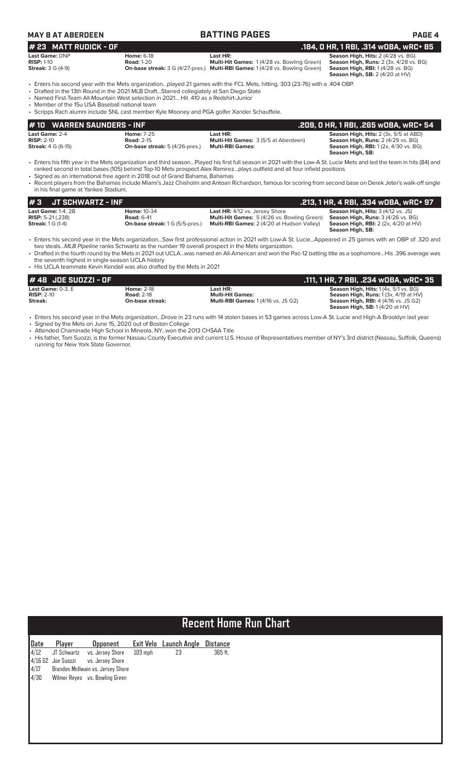### **MAY 8 AT ABERDEEN BATTING PAGES PAGE 4**

### **Last Game:** DNP **Home:** 6-18 **Last HR: Season High, Hits:** 2 (4/28 vs. BG) **RISP:** 1-10 **Road:** 1-20 **Multi-Hit Games:** 1 (4/28 vs. Bowling Green) **Season High, Runs:** 2 (3x, 4/28 vs. BG) **# 23** MATT RUDICK - OF<br>
Last Game: DNP<br>
RISP: 1-10<br>
RISP: 1-10<br>
RISP: 1-10<br>
RISP: 1-10<br>
RISP: 1-10<br> **201 - 191 Multi-Hit Games:** 1 (4/28 vs. Bowling Green)<br>
Season High, Runs: 2 (3x, 4/28 vs. BG)<br>
Season High, RII: 1 (4/2

**Streak:** 3 G (4-9) **On-base streak:** 3 G (4/27-pres.) **Multi-RBI Games:** 1 (4/28 vs. Bowling Green) **Season High, RBI:** 1 (4/28 vs. BG) **Season High, SB:** 2 (4/20 at HV)

• Enters his second year with the Mets organization…played 21 games with the FCL Mets, hitting. 303 (23-76) with a .404 OBP.

- Drafted in the 13th Round in the 2021 MLB Draft…Starred collegiately at San Diego State
- Named First-Team All-Mountain West selection in 2021… Hit .410 as a Redshirt-Junior

• Member of the 15u USA Baseball national team

| · Scripps Rach alumni include SNL cast member Kyle Mooney and PGA golfer Xander Schauffele. |
|---------------------------------------------------------------------------------------------|

| # 10    WARREN SAUNDERS - INF |                                       |                                             | .209, 0 HR, 1 RBI, .265 w0BA, wRC+ 54        |
|-------------------------------|---------------------------------------|---------------------------------------------|----------------------------------------------|
| <b>Last Game: 2-4</b>         | <b>Home: 7-25</b>                     | Last HR:                                    | <b>Season High, Hits: 2 (3x, 5/5 at ABD)</b> |
| $RISP: 2-10$                  | <b>Road: 2-15</b>                     | <b>Multi-Hit Games:</b> 3 (5/5 at Aberdeen) | <b>Season High, Runs: 2 (4/29 vs. BG)</b>    |
| <b>Streak:</b> 4 G (6-15)     | <b>On-base streak:</b> 5 (4/26-pres.) | <b>Multi-RBI Games:</b>                     | <b>Season High, RBI:</b> 1(2x, 4/30 vs. BG)  |
|                               |                                       |                                             | Season High, SB:                             |

• Enters his fifth year in the Mets organization and third season…Played his first full season in 2021 with the Low-A St. Lucie Mets and led the team in hits (84) and ranked second in total bases (105) behind Top-10 Mets prospect Alex Ramirez…plays outfield and all four infield positions

• Signed as an international free agent in 2018 out of Grand Bahama, Bahamas

• Recent players from the Bahamas include Miami's Jazz Chisholm and Antoan Richardson, famous for scoring from second base on Derek Jeter's walk-off single in his final game at Yankee Stadium.

| l#3                                                                             | JT SCHWARTZ - INF |                                                                                   |                                                                                                                                                  | .213, 1 HR, 4 RBI, .334 wOBA, wRC+ 97                                                                                                            |
|---------------------------------------------------------------------------------|-------------------|-----------------------------------------------------------------------------------|--------------------------------------------------------------------------------------------------------------------------------------------------|--------------------------------------------------------------------------------------------------------------------------------------------------|
| Last Game: $1-4$ . $2B$<br><b>RISP:</b> 5-21 (.238)<br><b>Streak:</b> 1 G (1-4) |                   | <b>Home: 10-34</b><br><b>Road: 6-41</b><br><b>On-base streak: 1 G (5/5-pres.)</b> | <b>Last HR:</b> 4/12 vs. Jersey Shore<br><b>Multi-Hit Games:</b> 5 (4/26 vs. Bowling Green)<br><b>Multi-RBI Games:</b> 2 (4/20 at Hudson Valley) | <b>Season High, Hits: 3 (4/12 vs. JS)</b><br><b>Season High, Runs:</b> 3 (4/26 vs. BG)<br><b>Season High, RBI:</b> $2$ ( $2x$ , $4/20$ at $HV$ ) |
|                                                                                 |                   |                                                                                   |                                                                                                                                                  | Season High, SB:                                                                                                                                 |

• Enters his second year in the Mets organization…Saw first professional action in 2021 with Low-A St. Lucie…Appeared in 25 games with an OBP of .320 and two steals...*MLB Pipeline* ranks Schwartz as the number 19 overall prospect in the Mets organization.

• Drafted in the fourth round by the Mets in 2021 out UCLA…was named an All-American and won the Pac-12 batting title as a sophomore…His .396 average was the seventh highest in single-season UCLA history

• His UCLA teammate Kevin Kendall was also drafted by the Mets in 2021

| # 48 JOE SUOZZI - OF   |                   |                                           | .111. 1 HR. 7 RBI. .234 wOBA. wRC+ 35                 |
|------------------------|-------------------|-------------------------------------------|-------------------------------------------------------|
| Last Game: $0-3$ . $E$ | <b>Home: 2-18</b> | Last HR:                                  | <b>Season High, Hits:</b> $1(4x, 5/1 \text{ vs. BG})$ |
| $RISP: 2-10$           | <b>Road: 2-18</b> | <b>Multi-Hit Games:</b>                   | <b>Season High, Runs:</b> $1(3x, 4/19$ at $HV$ )      |
| Streak:                | On-base streak:   | <b>Multi-RBI Games: 1(4/16 vs. JS G2)</b> | <b>Season High, RBI: 4 (4/16 vs. JS G2)</b>           |
|                        |                   |                                           | <b>Season High, SB: 1(4/20 at HV)</b>                 |

• Enters his second year in the Mets organization...Drove in 23 runs with 14 stolen bases in 53 games across Low-A St. Lucie and High-A Brooklyn last year Signed by the Mets on June 15, 2020 out of Boston College

• Attended Chaminade High School in Mineola, NY...won the 2013 CHSAA Title

• His father, Tom Suozzi, is the former Nassau County Executive and current U.S. House of Representatives member of NY's 3rd district (Nassau, Suffolk, Queens) running for New York State Governor.

|                                        | <b>Recent Home Run Chart</b>        |                                                                                                                                |           |                              |                     |  |
|----------------------------------------|-------------------------------------|--------------------------------------------------------------------------------------------------------------------------------|-----------|------------------------------|---------------------|--|
| Date<br>4/12<br>4/1662<br>4/17<br>4/30 | Player<br>JT Schwartz<br>Joe Suozzi | <b>Opponent</b><br>vs. Jersey Shore<br>vs. Jersey Shore<br>Brandon McIlwain vs. Jersey Shore<br>Wilmer Reyes vs. Bowling Green | $103$ mph | Exit Velo Launch Angle<br>23 | Distance<br>365 ft. |  |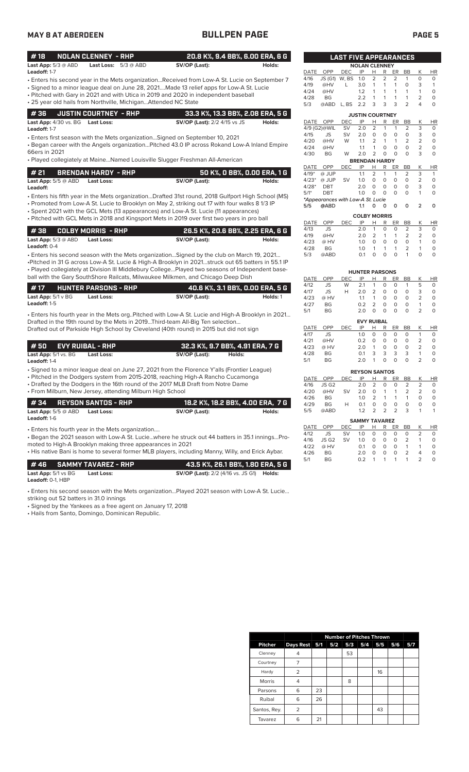### **MAY 8 AT ABERDEEN BULLPEN PAGE PAGE 5**

|--|--|--|

| #18                 |                              | NOLAN CLENNEY - RHP |                               | 20.8 K%, 9.4 BB%, 6.00 ERA, 6 G |        |  |
|---------------------|------------------------------|---------------------|-------------------------------|---------------------------------|--------|--|
|                     | <b>Last App:</b> $5/3$ @ ABD |                     | <b>Last Loss:</b> $5/3 @ ABD$ | SV/OP (Last):                   | Holds: |  |
| <b>Leadoff:</b> 1-7 |                              |                     |                               |                                 |        |  |

- Enters his second year in the Mets organization...Received from Low-A St. Lucie on September 7 • Signed to a minor league deal on June 28, 2021....Made 13 relief apps for Low-A St. Lucie
- Pitched with Gary in 2021 and with Utica in 2019 and 2020 in independent baseball
- 25 year old hails from Northville, Michigan...Attended NC State

|                                         | $\parallel$ # 36 $\parallel$ JUSTIN COURTNEY - RHP | 33.3 K%, 13.3 BB%, 2.08 ERA, 5 G    |        |
|-----------------------------------------|----------------------------------------------------|-------------------------------------|--------|
| <b>Last App:</b> 4/30 vs. BG Last Loss: |                                                    | <b>SV/OP (Last):</b> 2/2 4/15 vs JS | Holds: |

**Leadoff:** 1-7

• Enters first season with the Mets organization…Signed on September 10, 2021

• Began career with the Angels organization…Pitched 43.0 IP across Rokand Low-A Inland Empire 66ers in 2021

• Played collegiately at Maine…Named Louisville Slugger Freshman All-American

| l # 21 | BRENDAN HARDY - RHP            | 50 K%, 0 BB%, 0.00 ERA, 1 G |        |
|--------|--------------------------------|-----------------------------|--------|
|        | Last App: 5/5 @ ABD Last Loss: | SV/OP (Last):               | Holds: |

• Enters his fifth year in the Mets organization...Drafted 31st round, 2018 Gulfport High School (MS) **Leadoff:**

• Promoted from Low-A St. Lucie to Brooklyn on May 2, striking out 17 with four walks 8 1/3 IP

- Spent 2021 with the GCL Mets (13 appearances) and Low-A St. Lucie (11 appearances)
- Pitched with GCL Mets in 2018 and Kingsport Mets in 2019 over first two years in pro ball

|                              | 1 # 38      COLBY MORRIS  - RHP |               | 26.5 K%, 20.6 BB%, 2.25 ERA, 6 G |  |  |
|------------------------------|---------------------------------|---------------|----------------------------------|--|--|
| <b>Last App:</b> $5/3$ @ ABD | Last Loss:                      | SV/OP (Last): | Holds:                           |  |  |
| <b>Leadoff:</b> $0-4$        |                                 |               |                                  |  |  |

• Enters his second season with the Mets organization…Signed by the club on March 19, 2021… •Pitched in 31 G across Low-A St. Lucie & High-A Brooklyn in 2021…struck out 65 batters in 55.1 IP • Played collegiately at Division III Middlebury College…Played two seasons of Independent baseball with the Gary SouthShore Railcats, Milwaukee Milkmen, and Chicago Deep Dish

| l #17                          | <b>HUNTER PARSONS - RHP</b> | 40.6 K%, 3.1 BB%, 0.00 ERA, 5 G |          |
|--------------------------------|-----------------------------|---------------------------------|----------|
| <b>Last App:</b> $5/1 \vee BG$ | Last Loss:                  | SV/OP (Last):                   | Holds: 1 |
| <b>Leadoff:</b> 1-5            |                             |                                 |          |

• Enters his fourth year in the Mets org..Pitched with Low-A St. Lucie and High-A Brooklyn in 2021… Drafted in the 19th round by the Mets in 2019...Third-team All-Big Ten selection... Drafted out of Parkside High School by Cleveland (40th round) in 2015 but did not sign

| # 50      EVY RUIBAL - RHP           |            |               | 32.3 K%, 9.7 BB%, 4.91 ERA, 7 G |
|--------------------------------------|------------|---------------|---------------------------------|
| <b>Last App:</b> $5/1$ vs. $BG$<br>. | Last Loss: | SV/OP (Last): | Holds:                          |

**Leadoff:** 1-4

• Signed to a minor league deal on June 27, 2021 from the Florence Y'alls (Frontier League)

• Pitched in the Dodgers system from 2015-2018, reaching High-A Rancho Cucamonga

• Drafted by the Dodgers in the 16th round of the 2017 MLB Draft from Notre Dame • From Milburn, New Jersey, attending Milburn High School

| #34 REYSON SANTOS - RHP                                                |               | ' 18.2 K%. 18.2 BB%. 4.00 ERA.  7 G |
|------------------------------------------------------------------------|---------------|-------------------------------------|
| <b>Last App:</b> 5/5 @ ABD<br><b>Last Loss:</b><br><b>Leadoff:</b> 1-6 | SV/OP (Last): | Holds:                              |
| • Enters his fourth year in the Mets organization                      |               |                                     |

• Began the 2021 season with Low-A St. Lucie…where he struck out 44 batters in 35.1 innings…Promoted to High-A Brooklyn making three appearances in 2021

• His native Bani is home to several former MLB players, including Manny, Willy, and Erick Aybar.

|                                       | #46 SAMMY TAVAREZ - RHP | 43.5 K%. 26.1 BB%. 1.80 ERA. 5 G                        |  |
|---------------------------------------|-------------------------|---------------------------------------------------------|--|
| <b>Last App:</b> $5/1$ vs $BG$        | Last Loss:              | <b>SV/OP (Last):</b> 2/2 (4/16 vs. JS G1) <b>Holds:</b> |  |
| <b>Leadoff: <math>0-1</math>. HBP</b> |                         |                                                         |  |

• Enters his second season with the Mets organization…Played 2021 season with Low-A St. Lucie…

striking out 52 batters in 31.0 innings

• Signed by the Yankees as a free agent on January 17, 2018

• Hails from Santo, Domingo, Dominican Republic.

|             |                                   | <b>LAST FIVE APPEARANCES</b> |                             |                |                |                |                |                |           |
|-------------|-----------------------------------|------------------------------|-----------------------------|----------------|----------------|----------------|----------------|----------------|-----------|
|             |                                   |                              | <b>NOLAN CLENNEY</b>        |                |                |                |                |                |           |
| DATE        | OPP                               | <b>DEC</b>                   | IP                          | Н              | R              | ER             | BB             | Κ              | ΗR        |
| 4/16        | JS (G1)                           | W, BS                        | 1.0                         | $\overline{2}$ | $\overline{2}$ | $\overline{2}$ | 1              | 0              | 0         |
| 4/19        | @HV                               | L                            | 3.0                         | 1              | 1              | 1              | $\Omega$       | 3              | 1         |
| 4/24        | @HV                               |                              | 1.2                         | 1              | 1              | 1              | 1              | 1              | 0         |
| 4/28        | <b>BG</b>                         |                              | 2.2                         | 1              | 1              | 1              | 1              | 2              | 0         |
| 5/3         | @ABD                              | L, BS                        | 2.2                         | 3              | 3              | 3              | 2              | 4              | 0         |
|             |                                   |                              | <b>JUSTIN COURTNEY</b>      |                |                |                |                |                |           |
| <b>DATE</b> | OPP                               | <b>DEC</b>                   | IP                          | Н              | R              | ER             | <b>BB</b>      | Κ              | <b>HR</b> |
|             | 4/9 (G2)@WIL                      | SV                           | 2.0                         | $\overline{2}$ | 1              | 1              | 2              | 3              | 0         |
| 4/15        | <b>JS</b>                         | SV                           | 2.0                         | 0              | 0              | 0              | 0              | 3              | 0         |
| 4/20        | @HV                               | W                            | 1.1                         | $\overline{2}$ | 1              | 1              | 2              | 2              | 0         |
| 4/24        | @HV                               |                              | 1.1                         | 1              | 0              | 0              | 0              | 2              | 0         |
| 4/30        | <b>BG</b>                         | W                            | 2.0                         | $\overline{2}$ | 0              | 0              | 0              | 3              | 0         |
|             |                                   |                              | <b>BRENDAN HARDY</b>        |                |                |                |                |                |           |
| DATE        | OPP                               | DEC                          | IP                          | Н              | R              | ER             | BB             | Κ              | ΗR        |
| $4/19*$     | @ JUP                             |                              | 1.1                         | 2              | 1              | 1              | 2              | 3              | 1         |
| $4/23*$     | @ JUP                             | SV                           | 1.0                         | $\Omega$       | O              | 0              | 0              | $\overline{2}$ | 0         |
| $4/28*$     | <b>DBT</b>                        |                              | 2.0                         | $\Omega$       | 0              | 0              | 0              | 3              | 0         |
| $5/1*$      | DBT                               |                              | 1.0                         | $\Omega$       | 0              | 0              | 0              | 1              | 0         |
|             | *Appearances with Low-A St. Lucie |                              |                             |                |                |                |                |                |           |
| 5/5         | @ABD                              |                              | 1.1                         | 0              | 0              | 0              | 0              | $\overline{2}$ | 0         |
|             |                                   |                              | <b>COLBY MORRIS</b>         |                |                |                |                |                |           |
| <b>DATE</b> | OPP                               | <b>DEC</b>                   | IP                          | Н              | R              | ER             | BB             | Κ              | ΗR        |
| 4/13        | <b>JS</b>                         |                              | 2.0                         | 1              | 0              | 0              | 2              | 3              | 0         |
| 4/19        | @HV                               |                              | 2.0                         | $\overline{2}$ | 1              | 1              | 2              | 2              | 0         |
| 4/23        | @ HV                              |                              | 1.0                         | $\overline{O}$ | 0              | 0              | 0              | 1              | 0         |
| 4/28        | <b>BG</b>                         |                              | 1.0                         | 1              | 1              | 1              | $\overline{2}$ | 1              | 0         |
| 5/3         | @ABD                              |                              | 0.1                         | 0              | 0              | $\mathbf 0$    | 1              | 0              | 0         |
|             |                                   |                              |                             |                |                |                |                |                |           |
| <b>DATE</b> | OPP                               | <b>DEC</b>                   | <b>HUNTER PARSONS</b><br>IP | Н              | R              | ER             | <b>BB</b>      | Κ              | HR        |
| 4/12        | <b>JS</b>                         | W                            | 2.1                         | 1              | 0              | 0              | 1              | 5              | 0         |
| 4/17        | <b>JS</b>                         | Н                            | 2.0                         | $\overline{2}$ | 0              | 0              | O              | 3              | 0         |
|             |                                   |                              |                             |                | 0              |                |                |                |           |
| 4/23        | @ HV                              |                              | 1.1                         | 1              |                | 0              | 0              | 2              | 0         |
| 4/27        | ВG                                |                              | 0.2                         | 2              | 0              | 0              | 0              | 1              | 0         |
| 5/1         | <b>BG</b>                         |                              | 2.0                         | $\mathbf 0$    | O              | 0              | O              | $\overline{2}$ | 0         |
|             |                                   |                              | <b>EVY RUIBAL</b>           |                |                |                |                |                |           |
| <b>DATE</b> | OPP                               | <b>DEC</b>                   | IP                          | Н              | R              | ER             | <b>BB</b>      | Κ              | HR        |
| 4/17        | JS                                |                              | 1.0                         | 0              | 0              | 0              | 0              | 1              | 0         |
| 4/21        | @HV                               |                              | 0.2                         | 0              | 0              | 0              | 0              | 2              | 0         |
| 4/23        | @ HV                              |                              | 2.0                         | 1              | 0              | 0              | 0              | $\overline{2}$ | 0         |
| 4/28        | <b>BG</b>                         |                              | 0.1                         | 3              | 3              | 3              | 3              | 1              | 0         |
| 5/1         | <b>BG</b>                         |                              | 2.0                         | 1              | 0              | 0              | 0              | $\overline{2}$ | $\Omega$  |
|             |                                   |                              | <b>REYSON SANTOS</b>        |                |                |                |                |                |           |
| <b>DATE</b> | OPP                               | DEC                          | IP                          | Н              | R              | ER             | <b>BB</b>      | Κ              | HR        |

|                | DAIL OFF DEC IF H K ER DD K HR |             |             |  |  |                   |          |               |          |  |  |
|----------------|--------------------------------|-------------|-------------|--|--|-------------------|----------|---------------|----------|--|--|
|                | 4/16 JS G2 2.0 2 0 0 2         |             |             |  |  |                   |          | $\mathcal{L}$ | $\Omega$ |  |  |
|                | 4/20 @HV SV 2.0 0 1 1 2 2      |             |             |  |  |                   |          |               | $\Omega$ |  |  |
|                | 4/26 BG                        | 1.0 2 1 1 1 |             |  |  |                   |          | $\Omega$      | O        |  |  |
|                | 4/29 BG                        | H           | 0.1         |  |  | $0\quad 0\quad 0$ | $\Omega$ | $\Omega$      | O        |  |  |
| 5/5            | @ABD                           |             | 1.2 2 2 2 3 |  |  |                   |          | 1 1           |          |  |  |
| CAMBAY TAULORY |                                |             |             |  |  |                   |          |               |          |  |  |

|          |           |                  | SAMMY IAVAREZ |              |                   |                |                |               |              |
|----------|-----------|------------------|---------------|--------------|-------------------|----------------|----------------|---------------|--------------|
| DATE OPP |           | DEC IP H R ER BB |               |              |                   |                |                | K             | <b>HR</b>    |
| 4/12     | JS –      | SV 1.0           |               |              | $0\quad 0\quad 0$ |                | $\Omega$       |               | <sup>n</sup> |
| 4/16     | JS G2     | SV -             | 1.0           | $\Omega$     | $\Omega$          | $\overline{O}$ | $\overline{2}$ | -1            | $\cap$       |
| 4/22     | @ HV      |                  | $\Omega$ 1    | $\Omega$     | $\Omega$          | $\Omega$       | $\overline{1}$ |               |              |
| 4/26     | <b>BG</b> |                  | 2 O           | <sup>o</sup> | $\Omega$          | $\Omega$       | $\mathcal{L}$  | Δ             |              |
| 5/1      | <b>BG</b> |                  | 0 Z           |              |                   | 1 1 1 1        |                | $\mathcal{P}$ |              |

|                |                |    | <b>Number of Pitches Thrown</b> |     |     |     |     |     |  |  |
|----------------|----------------|----|---------------------------------|-----|-----|-----|-----|-----|--|--|
| <b>Pitcher</b> | Days Rest 5/1  |    | 5/2                             | 5/3 | 5/4 | 5/5 | 5/6 | 5/7 |  |  |
| Clenney        | 4              |    |                                 | 53  |     |     |     |     |  |  |
| Courtney       | 7              |    |                                 |     |     |     |     |     |  |  |
| Hardy          | $\overline{2}$ |    |                                 |     |     | 16  |     |     |  |  |
| Morris         | 4              |    |                                 | 8   |     |     |     |     |  |  |
| Parsons        | 6              | 23 |                                 |     |     |     |     |     |  |  |
| Ruibal         | 6              | 26 |                                 |     |     |     |     |     |  |  |
| Santos, Rey.   | $\overline{2}$ |    |                                 |     |     | 43  |     |     |  |  |
| Tavarez        | 6              | 21 |                                 |     |     |     |     |     |  |  |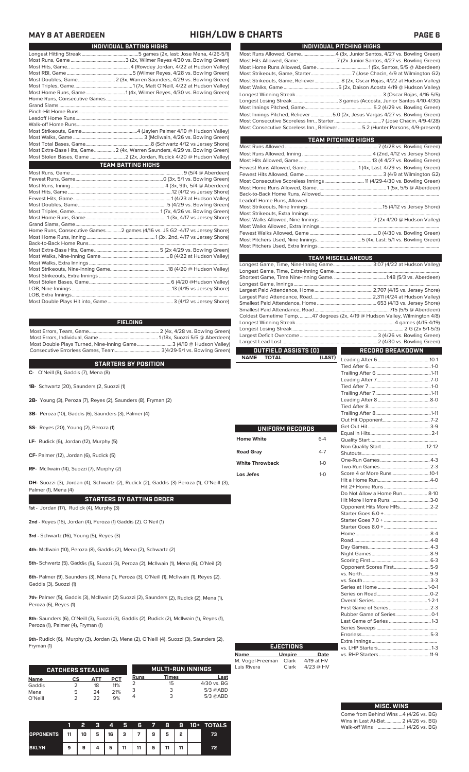## **MAY 8 AT ABERDEEN HIGH/LOW & CHARTS PAGE 6**

г

| INDIVIDUAL BATTING HIGHS                                                   |
|----------------------------------------------------------------------------|
|                                                                            |
|                                                                            |
|                                                                            |
|                                                                            |
| Most Doubles, Game 2 (3x, Warren Saunders, 4/29 vs. Bowling Green)         |
|                                                                            |
|                                                                            |
|                                                                            |
|                                                                            |
|                                                                            |
|                                                                            |
|                                                                            |
|                                                                            |
|                                                                            |
|                                                                            |
| Most Extra-Base Hits, Game 2 (4x, Warren Saunders, 4/29 vs. Bowling Green) |
| Most Stolen Bases, Game  2 (2x, Jordan, Rudick 4/20 @ Hudson Valley)       |
| <b>TEAM BATTING HIGHS</b>                                                  |
|                                                                            |
|                                                                            |
|                                                                            |
|                                                                            |
|                                                                            |
|                                                                            |
|                                                                            |
|                                                                            |
|                                                                            |
| Home Runs, Consecutive Games2 games (4/16 vs. JS G2 -4/17 vs Jersey Shore) |
|                                                                            |
|                                                                            |
|                                                                            |
|                                                                            |
|                                                                            |

| Back-to-Back Home Runs ……………………………………………………………………………………………                         |  |
|------------------------------------------------------------------------------------|--|
|                                                                                    |  |
|                                                                                    |  |
|                                                                                    |  |
| Most Strikeouts, Nine-Inning Game………………………………………………………………18 (4/20 @ Hudson Valley) |  |
|                                                                                    |  |
|                                                                                    |  |
|                                                                                    |  |
|                                                                                    |  |
|                                                                                    |  |

| FIELDING.                                                           |  |
|---------------------------------------------------------------------|--|
|                                                                     |  |
|                                                                     |  |
| Most Double Plays Turned, Nine-Inning Game 3 (4/19 @ Hudson Valley) |  |
|                                                                     |  |

### **STARTERS BY POSITION**

**C-** O'Neill (8), Gaddis (7), Mena (8)

**1B-** Schwartz (20), Saunders (2, Suozzi (1)

- **2B-** Young (3), Peroza (7), Reyes (2), Saunders (8), Fryman (2)
- **3B-** Peroza (10), Gaddis (6), Saunders (3), Palmer (4)
- **SS-** Reyes (20), Young (2), Peroza (1)
- **LF-** Rudick (6), Jordan (12), Murphy (5)
- **CF-** Palmer (12), Jordan (6), Rudick (5)

**RF-** McIlwain (14), Suozzi (7), Murphy (2)

**DH-** Suozzi (3), Jordan (4), Schwartz (2), Rudick (2), Gaddis (3) Peroza (1), O'Neill (3), Palmer (1), Mena (4)

### **STARTERS BY BATTING ORDER**

**1st -** Jordan (17), Rudick (4), Murphy (3)

**2nd -** Reyes (16), Jordan (4), Peroza (1) Gaddis (2). O'Neil (1)

**3rd -** Schwartz (16), Young (5), Reyes (3)

**4th-** McIlwain (10), Peroza (8), Gaddis (2), Mena (2), Schwartz (2)

**5th-** Schwartz (5), Gaddis (5), Suozzi (3), Peroza (2), McIlwain (1), Mena (6), O'Neil (2)

**6th-** Palmer (9), Saunders (3), Mena (1), Peroza (3), O'Neill (1), McIlwain (1), Reyes (2), Gaddis (3), Suozzi (1)

**7th-** Palmer (5), Gaddis (3), McIlwain (2) Suozzi (2), Saunders (2), Rudick (2), Mena (1), Peroza (6), Reyes (1)

**8th-** Saunders (6), O'Neill (3), Suozzi (3), Gaddis (2), Rudick (2), McIlwain (1), Reyes (1), Peroza (1), Palmer (4), Fryman (1)

**9th-** Rudick (6), Murphy (3), Jordan (2), Mena (2), O'Neill (4), Suozzi (3), Saunders (2), Fryman (1)

|             | <b>CATCHERS STEALING</b> |            |            |             | <b>MULTI-RUN INNINGS</b> |             |
|-------------|--------------------------|------------|------------|-------------|--------------------------|-------------|
| <b>Name</b> | СS                       | <b>ATT</b> | <b>PCT</b> | <b>Runs</b> | Times                    | Last        |
| Gaddis      |                          | 18         | 11%        |             | 15                       | 4/30 vs. BG |
| Mena        | 5                        | 24         | 21%        |             | 3                        | $5/3$ @ABD  |
| O'Neill     |                          | つつ         | 9%         |             |                          | $5/3$ @ABD  |

|                  |      | 2  | я | 4  | Я  | 6          | <b>7</b> | 8  | 9 | 10+ | <b>TOTALS</b> |
|------------------|------|----|---|----|----|------------|----------|----|---|-----|---------------|
| <b>OPPONENTS</b> | 4 11 | 10 | 5 | 16 | 3  | $\sqrt{7}$ | 9        | 5  | 2 |     | 73            |
| <b>BKLYN</b>     | 9    | 9  |   | 5  | 11 | 11         | 5        | 11 |   |     | 72            |

| INDIVIDUAL PITCHING HIGHS |                                                                              |  |  |  |  |
|---------------------------|------------------------------------------------------------------------------|--|--|--|--|
|                           | Most Runs Allowed, Game4 (3x, Junior Santos, 4/27 vs. Bowling Green)         |  |  |  |  |
|                           |                                                                              |  |  |  |  |
|                           |                                                                              |  |  |  |  |
|                           |                                                                              |  |  |  |  |
|                           | Most Strikeouts, Game, Reliever 8 (2x, Oscar Rojas, 4/22 at Hudson Valley)   |  |  |  |  |
|                           |                                                                              |  |  |  |  |
|                           |                                                                              |  |  |  |  |
|                           |                                                                              |  |  |  |  |
|                           |                                                                              |  |  |  |  |
|                           | Most Innings Pitched, Reliever 5.0 (2x, Jesus Vargas 4/27 vs. Bowling Green) |  |  |  |  |
|                           |                                                                              |  |  |  |  |
|                           | Most Consecutive Scoreless Inn., Reliever 5.2 (Hunter Parsons, 4/9-present)  |  |  |  |  |

| <b>TEAM PITCHING HIGHS</b> |  |  |  |  |  |  |
|----------------------------|--|--|--|--|--|--|
|                            |  |  |  |  |  |  |
|                            |  |  |  |  |  |  |
|                            |  |  |  |  |  |  |
|                            |  |  |  |  |  |  |
|                            |  |  |  |  |  |  |
|                            |  |  |  |  |  |  |
|                            |  |  |  |  |  |  |
|                            |  |  |  |  |  |  |
|                            |  |  |  |  |  |  |
|                            |  |  |  |  |  |  |
|                            |  |  |  |  |  |  |
|                            |  |  |  |  |  |  |
|                            |  |  |  |  |  |  |
|                            |  |  |  |  |  |  |
|                            |  |  |  |  |  |  |
|                            |  |  |  |  |  |  |

| <b>TEAM MISCELLANEOUS</b>                                         |         |                                                                              |  |  |  |  |
|-------------------------------------------------------------------|---------|------------------------------------------------------------------------------|--|--|--|--|
| Longest Game, Time, Nine-Inning Game 3:07 (4/22 at Hudson Valley) |         |                                                                              |  |  |  |  |
|                                                                   |         |                                                                              |  |  |  |  |
|                                                                   |         |                                                                              |  |  |  |  |
|                                                                   |         |                                                                              |  |  |  |  |
|                                                                   |         |                                                                              |  |  |  |  |
|                                                                   |         |                                                                              |  |  |  |  |
|                                                                   |         |                                                                              |  |  |  |  |
|                                                                   |         |                                                                              |  |  |  |  |
|                                                                   |         | Coldest Gametime Temp. 47 degrees (2x, 4/19 @ Hudson Valley, Wilmington 4/8) |  |  |  |  |
|                                                                   |         |                                                                              |  |  |  |  |
|                                                                   |         |                                                                              |  |  |  |  |
|                                                                   |         |                                                                              |  |  |  |  |
|                                                                   |         |                                                                              |  |  |  |  |
| OUTFIELD ASSISTS (0)                                              |         | <b>RECORD BREAKDOWN</b>                                                      |  |  |  |  |
| <b>NAME</b><br><b>TOTAL</b>                                       | (LAST)  |                                                                              |  |  |  |  |
|                                                                   |         |                                                                              |  |  |  |  |
|                                                                   |         |                                                                              |  |  |  |  |
|                                                                   |         |                                                                              |  |  |  |  |
|                                                                   |         |                                                                              |  |  |  |  |
|                                                                   |         |                                                                              |  |  |  |  |
|                                                                   |         |                                                                              |  |  |  |  |
|                                                                   |         |                                                                              |  |  |  |  |
|                                                                   |         |                                                                              |  |  |  |  |
|                                                                   |         |                                                                              |  |  |  |  |
| UNIFORM RECORDS                                                   |         |                                                                              |  |  |  |  |
|                                                                   |         |                                                                              |  |  |  |  |
| Home White                                                        | $6 - 4$ |                                                                              |  |  |  |  |
|                                                                   |         |                                                                              |  |  |  |  |
| <b>Road Gray</b>                                                  | $4 - 7$ |                                                                              |  |  |  |  |
| <b>White Throwback</b>                                            | $1-0$   |                                                                              |  |  |  |  |
|                                                                   |         |                                                                              |  |  |  |  |
| Los Jefes                                                         | $1-0$   |                                                                              |  |  |  |  |
|                                                                   |         |                                                                              |  |  |  |  |
|                                                                   |         |                                                                              |  |  |  |  |
|                                                                   |         | Do Not Allow a Home Run 8-10                                                 |  |  |  |  |
|                                                                   |         | Hit More Home Runs 3-0                                                       |  |  |  |  |
|                                                                   |         | Opponent Hits More HRs 2-2                                                   |  |  |  |  |
|                                                                   |         |                                                                              |  |  |  |  |
|                                                                   |         |                                                                              |  |  |  |  |
|                                                                   |         |                                                                              |  |  |  |  |
|                                                                   |         |                                                                              |  |  |  |  |
|                                                                   |         |                                                                              |  |  |  |  |
|                                                                   |         |                                                                              |  |  |  |  |
|                                                                   |         |                                                                              |  |  |  |  |
|                                                                   |         |                                                                              |  |  |  |  |
|                                                                   |         | Opponent Scores First5-9                                                     |  |  |  |  |
|                                                                   |         |                                                                              |  |  |  |  |
|                                                                   |         |                                                                              |  |  |  |  |
|                                                                   |         |                                                                              |  |  |  |  |

| <b>EJECTIONS</b>          |             |  |  |  |  |  |  |
|---------------------------|-------------|--|--|--|--|--|--|
| <b>Umpire</b>             | Date        |  |  |  |  |  |  |
| M. Vogel-Freeman<br>Clark | 4/19 at HV  |  |  |  |  |  |  |
| Clark                     | $4/23$ @ HV |  |  |  |  |  |  |
|                           |             |  |  |  |  |  |  |

| <b>MISC. WINS</b>                      |
|----------------------------------------|
| Come from Behind Wins  4 (4/26 vs. BG) |
| Wins in Last At-Bat 2 (4/26 vs. BG)    |
|                                        |

Series at Home ........................................1-0-1

Overall Series........................................... 1-2-1 First Game of Series .................................2-3 Rubber Game of Series ............................0-1 Last Game of Series ..................................1-3 Series Sweeps .................................................

Extra Innings .....................................................

vs. RHP Starters .........................................11-9

Series on Road...

Errorless.

vs. LHP Starters.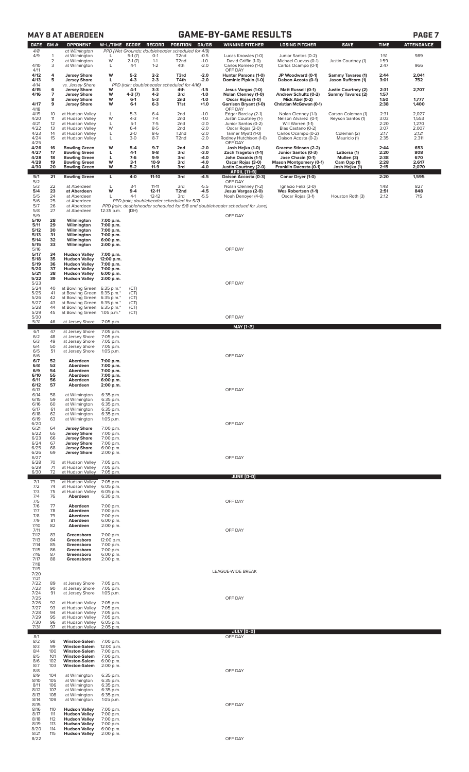|                      | <b>GAME-BY-GAME RESULTS</b><br><b>MAY 8 AT ABERDEEN</b><br>PAGE <sub>7</sub> |                                                                      |                                      |                             |                                     |                                                                                             |                            |                                                                               |                                                                  |                                                |                      |                         |
|----------------------|------------------------------------------------------------------------------|----------------------------------------------------------------------|--------------------------------------|-----------------------------|-------------------------------------|---------------------------------------------------------------------------------------------|----------------------------|-------------------------------------------------------------------------------|------------------------------------------------------------------|------------------------------------------------|----------------------|-------------------------|
| <b>DATE</b>          | GM#                                                                          | <b>OPPONENT</b>                                                      | <b>W-L/TIME SCORE</b>                |                             | <b>RECORD</b>                       | <b>POSITION</b>                                                                             | GA/GB                      | <b>WINNING PITCHER</b>                                                        | <b>LOSING PITCHER</b>                                            | <b>SAVE</b>                                    | <b>TIME</b>          | <b>ATTENDANCE</b>       |
| 4/8<br>4/9           | 1<br>2                                                                       | at Wilmington<br>at Wilmington<br>at Wilmington                      | L<br>W                               | $5-1(7)$<br>$2-1(7)$        | $O-1$<br>$1 - 1$                    | PPD (Wet Grounds; doubleheader scheduled for 4/9)<br>T <sub>2</sub> nd<br>T <sub>2</sub> nd | $-0.5$<br>$-1.0$           | Lucas Knowles (1-0)<br>David Griffin (1-0)                                    | Junior Santos (0-2)<br>Michael Cuevas (0-1)                      | Justin Courtney (1)                            | 1:51<br>1:59         | 989                     |
| 4/10<br>4/11         | 3                                                                            | at Wilmington                                                        | L                                    | $4-1$                       | $1 - 2$                             | 4th                                                                                         | $-2.0$                     | Carlos Romero (1-0)<br>OFF DAY                                                | Carlos Ocampo (0-1)                                              |                                                | 2:47                 | 966                     |
| 4/12<br>4/13         | 4<br>5                                                                       | <b>Jersey Shore</b><br><b>Jersey Shore</b>                           | W<br>г                               | $5 - 2$<br>$4-3$            | $2 - 2$<br>$2 - 3$                  | T3rd<br>T4th                                                                                | $-2.0$<br>$-2.0$           | Hunter Parsons (1-0)<br>Dominic Pipkin (1-0)                                  | JP Woodward (0-1)<br>Daison Acosta (0-1)                         | <b>Sammy Tavares (1)</b><br>Jason Ruffcorn (1) | 2:44<br>3:01         | 2,041<br>752            |
| 4/14<br>4/15<br>4/16 | 6<br>7                                                                       | vs. Jersey Shore<br><b>Jersey Shore</b><br><b>Jersey Shore</b>       | w<br>W                               | 4-1<br>$4-3(7)$             | $3-3$<br>$4 - 3$                    | PPD (rain; doubleheader scheduled for 4/16)<br>4th<br>3rd                                   | $-1.5$<br>$-1.0$           | Jesus Vargas (1-0)<br>Nolan Clenney (1-0)                                     | Matt Russell (0-1)<br>Andrew Schultz (0-2)                       | Justin Courtney (2)<br>Sammy Tavarez (2)       | 2:31<br>1:57         | 2,707                   |
| 4/17                 | 8<br>9                                                                       | <b>Jersey Shore</b><br><b>Jersey Shore</b>                           | W<br>W                               | $6-1$<br>$6-1$              | $5-3$<br>$6 - 3$                    | 2 <sub>nd</sub><br>T1st                                                                     | $-1.0$<br>$+1.0$           | Oscar Rojas (1-0)<br><b>Garrison Bryant (1-0)</b>                             | Mick Abel (0-2)<br>Christian McGowan (0-1)                       |                                                | 1:50<br>2:38         | 1,777<br>1,400          |
| 4/18<br>4/19         | 10                                                                           | at Hudson Valley                                                     | L                                    | $5-3$                       | $6 - 4$                             | 2nd                                                                                         | $-1.0$                     | OFF DAY<br>Edgar Barclay (2-1)                                                | Nolan Clenney (1-1)                                              | Carson Coleman (1)                             | 2:31                 | 2,027                   |
| 4/20<br>4/21         | 11<br>12                                                                     | at Hudson Valley<br>at Hudson Valley                                 | W<br>L                               | $4 - 3$<br>$5-1$            | $7 - 4$<br>$7 - 5$                  | 2 <sub>nd</sub><br>2 <sub>nd</sub>                                                          | $-1.0$<br>$-2.0$           | Justin Courtney (1-)<br>Junior Santos (0-2)                                   | Nelson Alvarez (0-1)<br>Will Warren (1-1)                        | Reyson Santos (1)                              | 3:03<br>2:20         | 1,553<br>1,270          |
| 4/22<br>4/23<br>4/24 | 13<br>14<br>15                                                               | at Hudson Valley<br>at Hudson Valley<br>at Hudson Valley             | W<br>L<br>L                          | $6 - 4$<br>$2 - 0$<br>$3-0$ | $8 - 5$<br>$8-6$<br>$8 - 7$         | 2 <sub>nd</sub><br>T <sub>2</sub> nd<br>T <sub>2</sub> nd                                   | $-2.0$<br>$-2.0$<br>$-2.0$ | Oscar Rojas (2-0)<br>Tanner Myatt (1-0)<br>Rodney Hutchison (1-0)             | Blas Castano (0-2)<br>Carlos Ocampo (0-2)<br>Daison Acosta (0-2) | Coleman (2)<br>Mauricio (1)                    | 3:07<br>2:17<br>2:35 | 2,007<br>2,121<br>2.311 |
| 4/25<br>4/26         | 16                                                                           | <b>Bowling Green</b>                                                 | W                                    | $5-4$                       | $9 - 7$                             | 2 <sub>nd</sub>                                                                             | $-2.0$                     | OFF DAY<br>Josh Hejka (1-0)                                                   | Graeme Stinson (2-2)                                             |                                                | 2:44                 | 653                     |
| 4/27<br>4/28         | 17<br>18                                                                     | <b>Bowling Green</b><br><b>Bowling Green</b>                         | L<br>L<br>W                          | $4-1$<br>$7-6$              | $9-8$<br>9-9                        | 3rd<br>3rd                                                                                  | $-3.0$<br>-4.0             | Zach Trageton (1-1)<br>John Doxakis (1-1)                                     | Junior Santos (0-3)<br>Jose Chacin (0-1)                         | LaSorsa (1)<br>Mullen (3)                      | 2:20<br>2:38         | 808<br>670              |
| 4/29<br>4/30         | 19<br>20                                                                     | <b>Bowling Green</b><br><b>Bowling Green</b>                         | W                                    | $3-1$<br>$5 - 2$            | $10-9$<br>$11-9$                    | 3rd<br>3rd                                                                                  | $-4.0$<br>$-4.0$           | Oscar Rojas (3-0)<br>Justin Courtney (2-0)<br>APRIL (11-9)                    | <b>Mason Montgomery (0-1)</b><br>Franklin Dacosta (0-1)          | Cam Opp (1)<br>Josh Hejka (1)                  | 2:28<br>2:15         | 2,617<br>2,070          |
| 5/1<br>5/2           | 21                                                                           | <b>Bowling Green</b>                                                 | L                                    | $4-0$                       | 11-10                               | 3rd                                                                                         | $-4.5$                     | Daison Accosta (0-3)<br>OFF DAY                                               | Conor Dryer (1-0)                                                |                                                | 2:20                 | 1,595                   |
| 5/3<br>5/4<br>5/5    | 22<br>23<br>24                                                               | at Aberdeen<br>at Aberdeen<br>at Aberdeen                            | L<br>W<br>L                          | $3-1$<br>$9 - 4$<br>$4-1$   | $11 - 11$<br>$12 - 11$<br>$12 - 12$ | 3rd<br>T <sub>2nd</sub><br>3rd                                                              | $-5.5$<br>$-4.5$<br>$-5.5$ | Nolan Clenney (1-2)<br>Jesus Vargas (2-0)<br>Noah Denoyer (4-0)               | Ignacio Feliz (2-0)<br>Wes Robertson (1-1)<br>Oscar Rojas (3-1)  | Houston Roth (3)                               | 1:48<br>2:51<br>2:12 | 827<br>848<br>715       |
| 5/6<br>5/7           | 25<br>26                                                                     | at Aberdeen<br>at Aberdeen                                           |                                      |                             |                                     | PPD (rain; doubleheader scheduled for 5/7)                                                  |                            | PPD (rain; doubleheader scheduled for 5/8 and doubleheader schedued for June) |                                                                  |                                                |                      |                         |
| 5/8<br>5/9           | 27                                                                           | at Aberdeen                                                          | 12:35 p.m.                           | (DH)                        |                                     |                                                                                             |                            | OFF DAY                                                                       |                                                                  |                                                |                      |                         |
| 5/10<br>5/11<br>5/12 | 28<br>29<br>30                                                               | Wilmington<br>Wilmington<br>Wilmington                               | 7:00 p.m.<br>7:00 p.m.<br>7:00 p.m.  |                             |                                     |                                                                                             |                            |                                                                               |                                                                  |                                                |                      |                         |
| 5/13<br>5/14         | 31<br>32                                                                     | Wilmington<br>Wilmington                                             | 7:00 p.m.<br>6:00 p.m.               |                             |                                     |                                                                                             |                            |                                                                               |                                                                  |                                                |                      |                         |
| 5/15<br>5/16         | 33                                                                           | Wilmington                                                           | 2:00 p.m.                            |                             |                                     |                                                                                             |                            | OFF DAY                                                                       |                                                                  |                                                |                      |                         |
| 5/17<br>5/18<br>5/19 | 34<br>35<br>36                                                               | <b>Hudson Valley</b><br><b>Hudson Valley</b><br><b>Hudson Valley</b> | 7:00 p.m.<br>12:00 p.m.<br>7:00 p.m. |                             |                                     |                                                                                             |                            |                                                                               |                                                                  |                                                |                      |                         |
| 5/20<br>5/21         | 37<br>38                                                                     | <b>Hudson Valley</b><br><b>Hudson Valley</b>                         | 7:00 p.m.<br>6:00 p.m.               |                             |                                     |                                                                                             |                            |                                                                               |                                                                  |                                                |                      |                         |
| 5/22<br>5/23<br>5/24 | 39<br>40                                                                     | <b>Hudson Valley</b><br>at Bowling Green                             | 2:00 p.m.<br>6:35 p.m.*              | (CT)                        |                                     |                                                                                             |                            | OFF DAY                                                                       |                                                                  |                                                |                      |                         |
| 5/25<br>5/26         | 41<br>42                                                                     | at Bowling Green<br>at Bowling Green                                 | 6:35 p.m.*<br>6:35 p.m.*             | (CT)<br>(CT)                |                                     |                                                                                             |                            |                                                                               |                                                                  |                                                |                      |                         |
| 5/27<br>5/28         | 43<br>44                                                                     | at Bowling Green<br>at Bowling Green                                 | 6:35 p.m.*<br>6:35 p.m.*             | (CT)<br>(CT)                |                                     |                                                                                             |                            |                                                                               |                                                                  |                                                |                      |                         |
| 5/29<br>5/30<br>5/31 | 45<br>46                                                                     | at Bowling Green<br>at Jersey Shore                                  | 1:05 p.m. $*$<br>7:05 p.m.           | (CT)                        |                                     |                                                                                             |                            | OFF DAY                                                                       |                                                                  |                                                |                      |                         |
| 6/1                  | 47                                                                           | at Jersey Shore                                                      | 7:05 p.m.                            |                             |                                     |                                                                                             |                            | <b>MAY [1-2]</b>                                                              |                                                                  |                                                |                      |                         |
| 6/2<br>6/3           | 48<br>49                                                                     | at Jersey Shore<br>at Jersey Shore                                   | 7:05 p.m.<br>7:05 p.m.               |                             |                                     |                                                                                             |                            |                                                                               |                                                                  |                                                |                      |                         |
| 6/4<br>6/5<br>6/6    | 50<br>51                                                                     | at Jersey Shore<br>at Jersey Shore                                   | 7:05 p.m.<br>1:05 p.m.               |                             |                                     |                                                                                             |                            | OFF DAY                                                                       |                                                                  |                                                |                      |                         |
| 6/7<br>6/8           | 52<br>53                                                                     | Aberdeen<br>Aberdeen                                                 | 7:00 p.m.<br>7:00 p.m.               |                             |                                     |                                                                                             |                            |                                                                               |                                                                  |                                                |                      |                         |
| 6/9<br>6/10          | 54<br>55                                                                     | Aberdeen<br>Aberdeen                                                 | 7:00 p.m.<br>7:00 p.m.               |                             |                                     |                                                                                             |                            |                                                                               |                                                                  |                                                |                      |                         |
| 6/11<br>6/12<br>6/13 | 56<br>57                                                                     | Aberdeen<br>Aberdeen                                                 | 6:00 p.m.<br>2:00 p.m.               |                             |                                     |                                                                                             |                            | OFF DAY                                                                       |                                                                  |                                                |                      |                         |
| 6/14<br>6/15         | 58<br>59                                                                     | at Wilmington<br>at Wilmington                                       | 6:35 p.m.<br>6:35 p.m.               |                             |                                     |                                                                                             |                            |                                                                               |                                                                  |                                                |                      |                         |
| 6/16<br>6/17<br>6/18 | 60<br>61<br>62                                                               | at Wilmington<br>at Wilmington<br>at Wilmington                      | 6:35 p.m.<br>6:35 p.m.<br>6:35 p.m.  |                             |                                     |                                                                                             |                            |                                                                               |                                                                  |                                                |                      |                         |
| 6/19<br>6/20         | 63                                                                           | at Wilmington                                                        | 1:05 p.m.                            |                             |                                     |                                                                                             |                            | OFF DAY                                                                       |                                                                  |                                                |                      |                         |
| 6/21<br>6/22         | 64<br>65                                                                     | <b>Jersey Shore</b><br><b>Jersey Shore</b>                           | 7:00 p.m.<br>7:00 p.m.               |                             |                                     |                                                                                             |                            |                                                                               |                                                                  |                                                |                      |                         |
| 6/23<br>6/24<br>6/25 | 66<br>67<br>68                                                               | <b>Jersey Shore</b><br><b>Jersey Shore</b><br><b>Jersey Shore</b>    | 7:00 p.m.<br>7:00 p.m.<br>6:00 p.m.  |                             |                                     |                                                                                             |                            |                                                                               |                                                                  |                                                |                      |                         |
| 6/26<br>6/27         | 69                                                                           | <b>Jersey Shore</b>                                                  | 2:00 p.m.                            |                             |                                     |                                                                                             |                            | OFF DAY                                                                       |                                                                  |                                                |                      |                         |
| 6/28<br>6/29<br>6/30 | 70<br>71<br>72                                                               | at Hudson Valley<br>at Hudson Valley<br>at Hudson Valley             | 7:05 p.m.<br>7:05 p.m.<br>7:05 p.m.  |                             |                                     |                                                                                             |                            |                                                                               |                                                                  |                                                |                      |                         |
| 7/1                  | 73                                                                           | at Hudson Valley                                                     | 7:05 p.m.                            |                             |                                     |                                                                                             |                            | JUNE (0-0)                                                                    |                                                                  |                                                |                      |                         |
| 7/2<br>7/3           | 74<br>75                                                                     | at Hudson Valley<br>at Hudson Valley                                 | 6:05 p.m.<br>6:05 p.m.               |                             |                                     |                                                                                             |                            |                                                                               |                                                                  |                                                |                      |                         |
| 7/4<br>7/5<br>7/6    | 76<br>77                                                                     | Aberdeen<br>Aberdeen                                                 | 6:30 p.m.<br>7:00 p.m.               |                             |                                     |                                                                                             |                            | OFF DAY                                                                       |                                                                  |                                                |                      |                         |
| 7/7<br>7/8           | 78<br>79                                                                     | Aberdeen<br>Aberdeen                                                 | 7:00 p.m.<br>7:00 p.m.               |                             |                                     |                                                                                             |                            |                                                                               |                                                                  |                                                |                      |                         |
| 7/9<br>7/10<br>7/11  | 81<br>82                                                                     | Aberdeen<br>Aberdeen                                                 | 6:00 p.m.<br>2:00 p.m.               |                             |                                     |                                                                                             |                            | OFF DAY                                                                       |                                                                  |                                                |                      |                         |
| 7/12<br>7/13         | 83<br>84                                                                     | Greensboro<br>Greensboro                                             | 7:00 p.m.<br>12:00 p.m.              |                             |                                     |                                                                                             |                            |                                                                               |                                                                  |                                                |                      |                         |
| 7/14<br>7/15         | 85<br>86                                                                     | Greensboro<br>Greensboro                                             | 7:00 p.m.<br>7:00 p.m.               |                             |                                     |                                                                                             |                            |                                                                               |                                                                  |                                                |                      |                         |
| 7/16<br>7/17<br>7/18 | 87<br>88                                                                     | Greensboro<br>Greensboro                                             | 6:00 p.m.<br>2:00 p.m.               |                             |                                     |                                                                                             |                            |                                                                               |                                                                  |                                                |                      |                         |
| 7/19<br>7/20         |                                                                              |                                                                      |                                      |                             |                                     |                                                                                             |                            | LEAGUE-WIDE BREAK                                                             |                                                                  |                                                |                      |                         |
| 7/21<br>7/22<br>7/23 | 89<br>90                                                                     | at Jersey Shore<br>at Jersey Shore                                   | 7:05 p.m.<br>7:05 p.m.               |                             |                                     |                                                                                             |                            |                                                                               |                                                                  |                                                |                      |                         |
| 7/24<br>7/25         | 91                                                                           | at Jersey Shore                                                      | 1:05 p.m.                            |                             |                                     |                                                                                             |                            | OFF DAY                                                                       |                                                                  |                                                |                      |                         |
| 7/26<br>7/27         | 92<br>93                                                                     | at Hudson Valley<br>at Hudson Valley                                 | 7:05 p.m.<br>7:05 p.m.               |                             |                                     |                                                                                             |                            |                                                                               |                                                                  |                                                |                      |                         |
| 7/28<br>7/29<br>7/30 | 94<br>95<br>96                                                               | at Hudson Valley<br>at Hudson Valley<br>at Hudson Valley             | 7:05 p.m.<br>7:05 p.m.<br>6:05 p.m.  |                             |                                     |                                                                                             |                            |                                                                               |                                                                  |                                                |                      |                         |
| 7/31                 | 97                                                                           | at Hudson Valley                                                     | 2:05 p.m.                            |                             |                                     |                                                                                             |                            | JULY (0-0)                                                                    |                                                                  |                                                |                      |                         |
| 8/1<br>8/2           | 98<br>99                                                                     | <b>Winston-Salem</b>                                                 | 7:00 p.m.                            |                             |                                     |                                                                                             |                            | OFF DAY                                                                       |                                                                  |                                                |                      |                         |
| 8/3<br>8/4<br>8/5    | 100<br>101                                                                   | <b>Winston-Salem</b><br><b>Winston-Salem</b><br><b>Winston-Salem</b> | 12:00 p.m.<br>7:00 p.m.<br>7:00 p.m. |                             |                                     |                                                                                             |                            |                                                                               |                                                                  |                                                |                      |                         |
| 8/6<br>8/7           | 102<br>103                                                                   | <b>Winston-Salem</b><br><b>Winston-Salem</b>                         | 6:00 p.m.<br>2:00 p.m.               |                             |                                     |                                                                                             |                            |                                                                               |                                                                  |                                                |                      |                         |
| 8/8<br>8/9<br>8/10   | 104<br>105                                                                   | at Wilmington<br>at Wilmington                                       | 6:35 p.m.<br>6:35 p.m.               |                             |                                     |                                                                                             |                            | OFF DAY                                                                       |                                                                  |                                                |                      |                         |
| 8/11<br>8/12         | 106<br>107                                                                   | at Wilmington<br>at Wilmington                                       | 6:35 p.m.<br>6:35 p.m.               |                             |                                     |                                                                                             |                            |                                                                               |                                                                  |                                                |                      |                         |
| 8/13<br>8/14         | 108<br>109                                                                   | at Wilmington<br>at Wilmington                                       | 6:35 p.m.<br>$1:05$ p.m.             |                             |                                     |                                                                                             |                            |                                                                               |                                                                  |                                                |                      |                         |
| 8/15<br>8/16<br>8/17 | 110<br>111                                                                   | <b>Hudson Valley</b><br><b>Hudson Valley</b>                         | 7:00 p.m.<br>7:00 p.m.               |                             |                                     |                                                                                             |                            | OFF DAY                                                                       |                                                                  |                                                |                      |                         |
| 8/18<br>8/19         | 112<br>113                                                                   | <b>Hudson Valley</b><br><b>Hudson Valley</b>                         | 7:00 p.m.<br>7:00 p.m.               |                             |                                     |                                                                                             |                            |                                                                               |                                                                  |                                                |                      |                         |
| 8/20<br>8/21         | 114<br>115                                                                   | <b>Hudson Valley</b><br><b>Hudson Valley</b>                         | 6:00 p.m.<br>2:00 p.m.               |                             |                                     |                                                                                             |                            |                                                                               |                                                                  |                                                |                      |                         |

8/22 OFF DAY